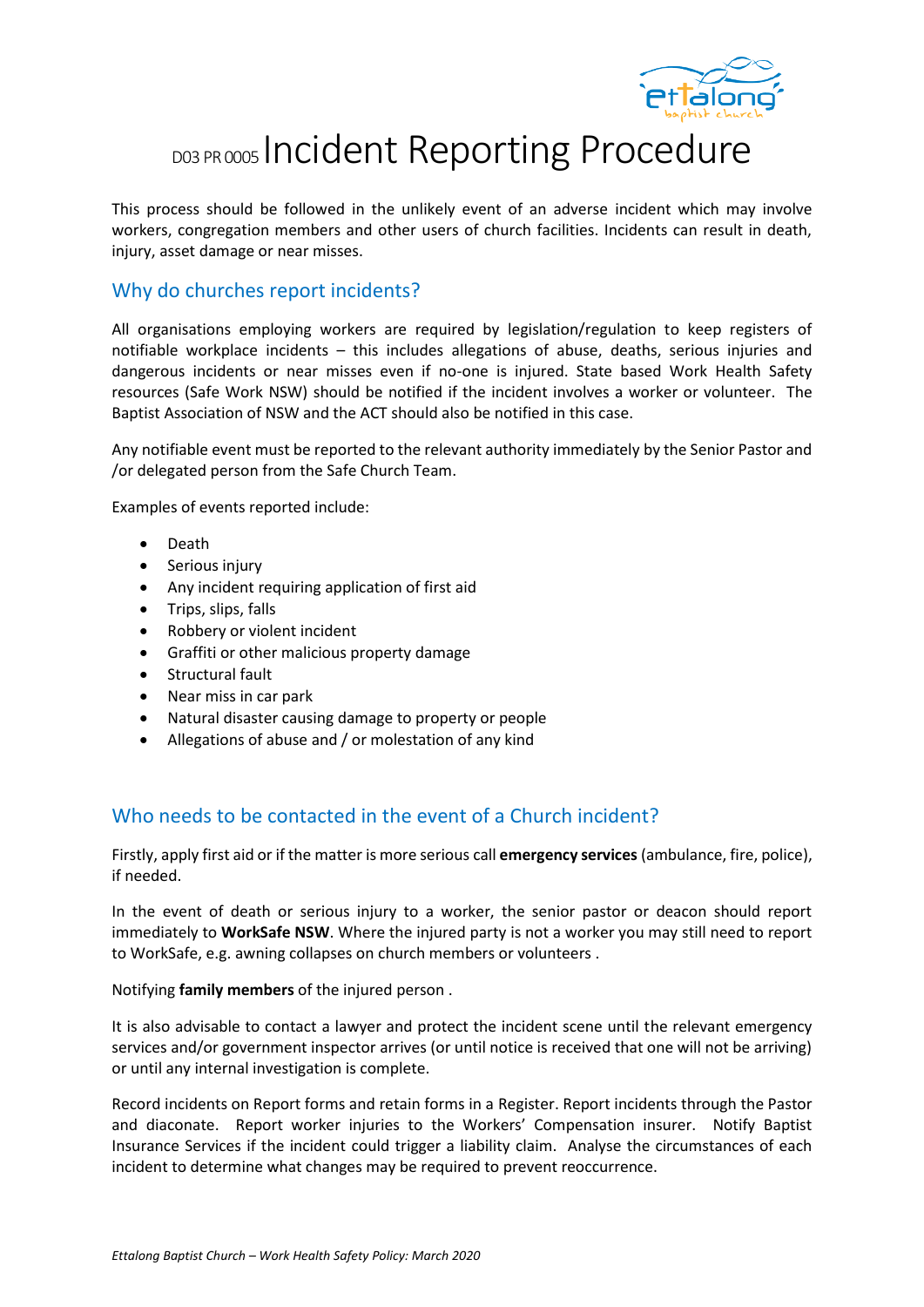

## DO3 PR 0005 Incident Reporting Procedure

This process should be followed in the unlikely event of an adverse incident which may involve workers, congregation members and other users of church facilities. Incidents can result in death, injury, asset damage or near misses.

## Why do churches report incidents?

All organisations employing workers are required by legislation/regulation to keep registers of notifiable workplace incidents – this includes allegations of abuse, deaths, serious injuries and dangerous incidents or near misses even if no-one is injured. State based Work Health Safety resources (Safe Work NSW) should be notified if the incident involves a worker or volunteer. The Baptist Association of NSW and the ACT should also be notified in this case.

Any notifiable event must be reported to the relevant authority immediately by the Senior Pastor and /or delegated person from the Safe Church Team.

Examples of events reported include:

- Death
- Serious injury
- Any incident requiring application of first aid
- Trips, slips, falls
- Robbery or violent incident
- Graffiti or other malicious property damage
- Structural fault
- Near miss in car park
- Natural disaster causing damage to property or people
- Allegations of abuse and / or molestation of any kind

## Who needs to be contacted in the event of a Church incident?

Firstly, apply first aid or if the matter is more serious call **emergency services** (ambulance, fire, police), if needed.

In the event of death or serious injury to a worker, the senior pastor or deacon should report immediately to **WorkSafe NSW**. Where the injured party is not a worker you may still need to report to WorkSafe, e.g. awning collapses on church members or volunteers .

Notifying **family members** of the injured person .

It is also advisable to contact a lawyer and protect the incident scene until the relevant emergency services and/or government inspector arrives (or until notice is received that one will not be arriving) or until any internal investigation is complete.

Record incidents on Report forms and retain forms in a Register. Report incidents through the Pastor and diaconate. Report worker injuries to the Workers' Compensation insurer. Notify Baptist Insurance Services if the incident could trigger a liability claim. Analyse the circumstances of each incident to determine what changes may be required to prevent reoccurrence.